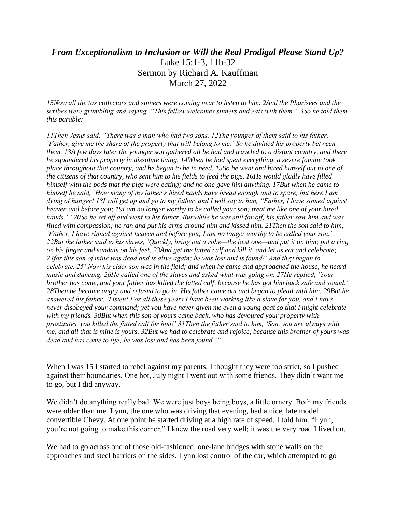## *From Exceptionalism to Inclusion or Will the Real Prodigal Please Stand Up?* Luke 15:1-3, 11b-32 Sermon by Richard A. Kauffman March 27, 2022

*15Now all the tax collectors and sinners were coming near to listen to him. 2And the Pharisees and the scribes were grumbling and saying, "This fellow welcomes sinners and eats with them." 3So he told them this parable:*

*11Then Jesus said, "There was a man who had two sons. 12The younger of them said to his father, 'Father, give me the share of the property that will belong to me.' So he divided his property between them. 13A few days later the younger son gathered all he had and traveled to a distant country, and there he squandered his property in dissolute living. 14When he had spent everything, a severe famine took place throughout that country, and he began to be in need. 15So he went and hired himself out to one of the citizens of that country, who sent him to his fields to feed the pigs. 16He would gladly have filled himself with the pods that the pigs were eating; and no one gave him anything. 17But when he came to himself he said, 'How many of my father's hired hands have bread enough and to spare, but here I am dying of hunger! 18I will get up and go to my father, and I will say to him, "Father, I have sinned against heaven and before you; 19I am no longer worthy to be called your son; treat me like one of your hired hands."' 20So he set off and went to his father. But while he was still far off, his father saw him and was filled with compassion; he ran and put his arms around him and kissed him. 21Then the son said to him, 'Father, I have sinned against heaven and before you; I am no longer worthy to be called your son.' 22But the father said to his slaves, 'Quickly, bring out a robe—the best one—and put it on him; put a ring on his finger and sandals on his feet. 23And get the fatted calf and kill it, and let us eat and celebrate; 24for this son of mine was dead and is alive again; he was lost and is found!' And they began to celebrate. 25"Now his elder son was in the field; and when he came and approached the house, he heard music and dancing. 26He called one of the slaves and asked what was going on. 27He replied, 'Your brother has come, and your father has killed the fatted calf, because he has got him back safe and sound.' 28Then he became angry and refused to go in. His father came out and began to plead with him. 29But he answered his father, 'Listen! For all these years I have been working like a slave for you, and I have never disobeyed your command; yet you have never given me even a young goat so that I might celebrate with my friends. 30But when this son of yours came back, who has devoured your property with prostitutes, you killed the fatted calf for him!' 31Then the father said to him, 'Son, you are always with me, and all that is mine is yours. 32But we had to celebrate and rejoice, because this brother of yours was dead and has come to life; he was lost and has been found.'"*

When I was 15 I started to rebel against my parents. I thought they were too strict, so I pushed against their boundaries. One hot, July night I went out with some friends. They didn't want me to go, but I did anyway.

We didn't do anything really bad. We were just boys being boys, a little ornery. Both my friends were older than me. Lynn, the one who was driving that evening, had a nice, late model convertible Chevy. At one point he started driving at a high rate of speed. I told him, "Lynn, you're not going to make this corner." I knew the road very well; it was the very road I lived on.

We had to go across one of those old-fashioned, one-lane bridges with stone walls on the approaches and steel barriers on the sides. Lynn lost control of the car, which attempted to go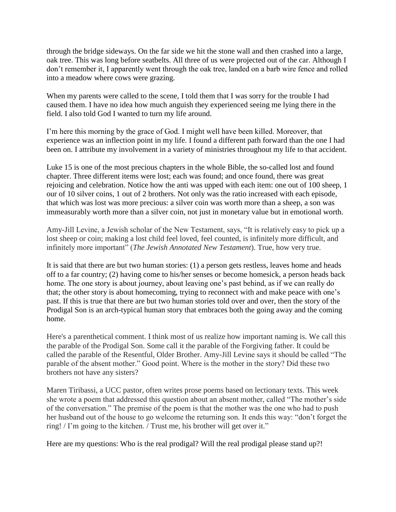through the bridge sideways. On the far side we hit the stone wall and then crashed into a large, oak tree. This was long before seatbelts. All three of us were projected out of the car. Although I don't remember it, I apparently went through the oak tree, landed on a barb wire fence and rolled into a meadow where cows were grazing.

When my parents were called to the scene, I told them that I was sorry for the trouble I had caused them. I have no idea how much anguish they experienced seeing me lying there in the field. I also told God I wanted to turn my life around.

I'm here this morning by the grace of God. I might well have been killed. Moreover, that experience was an inflection point in my life. I found a different path forward than the one I had been on. I attribute my involvement in a variety of ministries throughout my life to that accident.

Luke 15 is one of the most precious chapters in the whole Bible, the so-called lost and found chapter. Three different items were lost; each was found; and once found, there was great rejoicing and celebration. Notice how the anti was upped with each item: one out of 100 sheep, 1 our of 10 silver coins, 1 out of 2 brothers. Not only was the ratio increased with each episode, that which was lost was more precious: a silver coin was worth more than a sheep, a son was immeasurably worth more than a silver coin, not just in monetary value but in emotional worth.

Amy-Jill Levine, a Jewish scholar of the New Testament, says, "It is relatively easy to pick up a lost sheep or coin; making a lost child feel loved, feel counted, is infinitely more difficult, and infinitely more important" (*The Jewish Annotated New Testament*). True, how very true.

It is said that there are but two human stories: (1) a person gets restless, leaves home and heads off to a far country; (2) having come to his/her senses or become homesick, a person heads back home. The one story is about journey, about leaving one's past behind, as if we can really do that; the other story is about homecoming, trying to reconnect with and make peace with one's past. If this is true that there are but two human stories told over and over, then the story of the Prodigal Son is an arch-typical human story that embraces both the going away and the coming home.

Here's a parenthetical comment. I think most of us realize how important naming is. We call this the parable of the Prodigal Son. Some call it the parable of the Forgiving father. It could be called the parable of the Resentful, Older Brother. Amy-Jill Levine says it should be called "The parable of the absent mother." Good point. Where is the mother in the story? Did these two brothers not have any sisters?

Maren Tiribassi, a UCC pastor, often writes prose poems based on lectionary texts. This week she wrote a poem that addressed this question about an absent mother, called "The mother's side of the conversation." The premise of the poem is that the mother was the one who had to push her husband out of the house to go welcome the returning son. It ends this way: "don't forget the ring! / I'm going to the kitchen. / Trust me, his brother will get over it."

Here are my questions: Who is the real prodigal? Will the real prodigal please stand up?!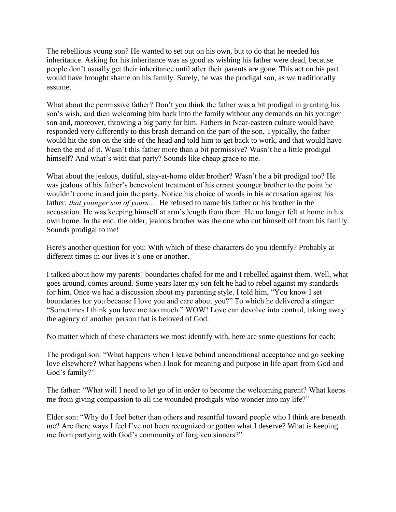The rebellious young son? He wanted to set out on his own, but to do that he needed his inheritance. Asking for his inheritance was as good as wishing his father were dead, because people don't usually get their inheritance until after their parents are gone. This act on his part would have brought shame on his family. Surely, he was the prodigal son, as we traditionally assume.

What about the permissive father? Don't you think the father was a bit prodigal in granting his son's wish, and then welcoming him back into the family without any demands on his younger son and, moreover, throwing a big party for him. Fathers in Near-eastern culture would have responded very differently to this brash demand on the part of the son. Typically, the father would hit the son on the side of the head and told him to get back to work, and that would have been the end of it. Wasn't this father more than a bit permissive? Wasn't he a little prodigal himself? And what's with that party? Sounds like cheap grace to me.

What about the jealous, dutiful, stay-at-home older brother? Wasn't he a bit prodigal too? He was jealous of his father's benevolent treatment of his errant younger brother to the point he wouldn't come in and join the party. Notice his choice of words in his accusation against his father*: that younger son of yours….* He refused to name his father or his brother in the accusation. He was keeping himself at arm's length from them. He no longer felt at home in his own home. In the end, the older, jealous brother was the one who cut himself off from his family. Sounds prodigal to me!

Here's another question for you: With which of these characters do you identify? Probably at different times in our lives it's one or another.

I talked about how my parents' boundaries chafed for me and I rebelled against them. Well, what goes around, comes around. Some years later my son felt he had to rebel against my standards for him. Once we had a discussion about my parenting style. I told him, "You know I set boundaries for you because I love you and care about you?" To which he delivered a stinger: "Sometimes I think you love me too much." WOW! Love can devolve into control, taking away the agency of another person that is beloved of God.

No matter which of these characters we most identify with, here are some questions for each:

The prodigal son: "What happens when I leave behind unconditional acceptance and go seeking love elsewhere? What happens when I look for meaning and purpose in life apart from God and God's family?"

The father: "What will I need to let go of in order to become the welcoming parent? What keeps me from giving compassion to all the wounded prodigals who wonder into my life?"

Elder son: "Why do I feel better than others and resentful toward people who I think are beneath me? Are there ways I feel I've not been recognized or gotten what I deserve? What is keeping me from partying with God's community of forgiven sinners?"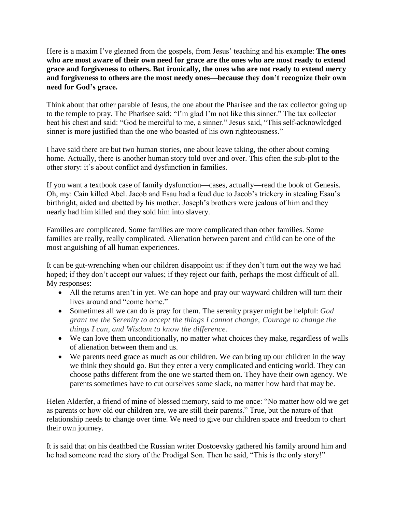Here is a maxim I've gleaned from the gospels, from Jesus' teaching and his example: **The ones who are most aware of their own need for grace are the ones who are most ready to extend grace and forgiveness to others. But ironically, the ones who are not ready to extend mercy and forgiveness to others are the most needy ones—because they don't recognize their own need for God's grace.**

Think about that other parable of Jesus, the one about the Pharisee and the tax collector going up to the temple to pray. The Pharisee said: "I'm glad I'm not like this sinner." The tax collector beat his chest and said: "God be merciful to me, a sinner." Jesus said, "This self-acknowledged sinner is more justified than the one who boasted of his own righteousness."

I have said there are but two human stories, one about leave taking, the other about coming home. Actually, there is another human story told over and over. This often the sub-plot to the other story: it's about conflict and dysfunction in families.

If you want a textbook case of family dysfunction—cases, actually—read the book of Genesis. Oh, my: Cain killed Abel. Jacob and Esau had a feud due to Jacob's trickery in stealing Esau's birthright, aided and abetted by his mother. Joseph's brothers were jealous of him and they nearly had him killed and they sold him into slavery.

Families are complicated. Some families are more complicated than other families. Some families are really, really complicated. Alienation between parent and child can be one of the most anguishing of all human experiences.

It can be gut-wrenching when our children disappoint us: if they don't turn out the way we had hoped; if they don't accept our values; if they reject our faith, perhaps the most difficult of all. My responses:

- All the returns aren't in yet. We can hope and pray our wayward children will turn their lives around and "come home."
- Sometimes all we can do is pray for them*.* The serenity prayer might be helpful: *God grant me the Serenity to accept the things I cannot change, Courage to change the things I can, and Wisdom to know the difference.*
- We can love them unconditionally, no matter what choices they make, regardless of walls of alienation between them and us.
- We parents need grace as much as our children. We can bring up our children in the way we think they should go. But they enter a very complicated and enticing world. They can choose paths different from the one we started them on. They have their own agency. We parents sometimes have to cut ourselves some slack, no matter how hard that may be.

Helen Alderfer, a friend of mine of blessed memory, said to me once: "No matter how old we get as parents or how old our children are, we are still their parents." True, but the nature of that relationship needs to change over time. We need to give our children space and freedom to chart their own journey.

It is said that on his deathbed the Russian writer Dostoevsky gathered his family around him and he had someone read the story of the Prodigal Son. Then he said, "This is the only story!"